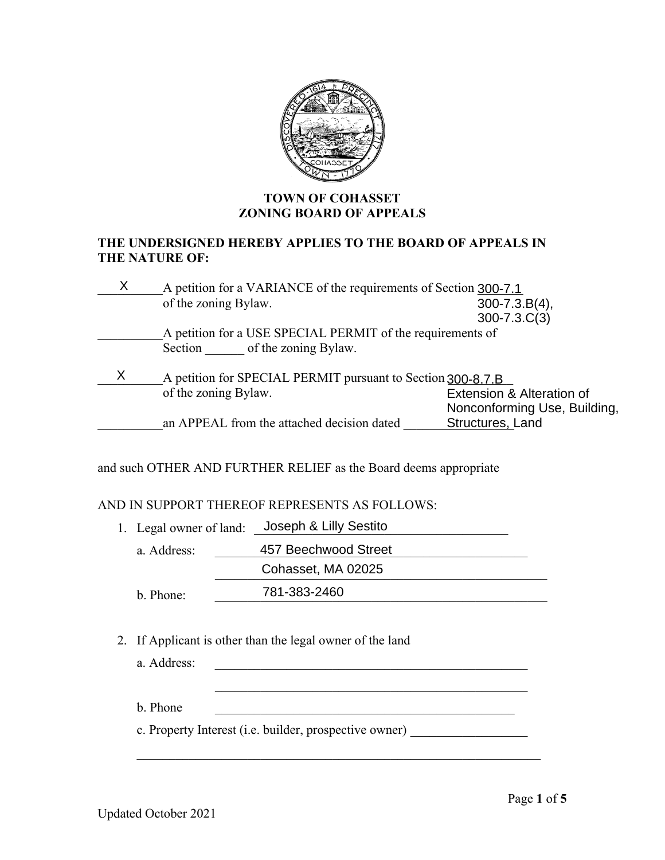

## **TOWN OF COHASSET ZONING BOARD OF APPEALS**

### **THE UNDERSIGNED HEREBY APPLIES TO THE BOARD OF APPEALS IN THE NATURE OF:**

| X<br>A petition for a VARIANCE of the requirements of Section 300-7.1 |                      |                                                                  |                              |
|-----------------------------------------------------------------------|----------------------|------------------------------------------------------------------|------------------------------|
|                                                                       | of the zoning Bylaw. |                                                                  | $300 - 7.3.B(4)$ ,           |
|                                                                       |                      |                                                                  | $300 - 7.3 \cdot C(3)$       |
|                                                                       |                      | A petition for a USE SPECIAL PERMIT of the requirements of       |                              |
|                                                                       |                      | Section of the zoning Bylaw.                                     |                              |
| X<br>A petition for SPECIAL PERMIT pursuant to Section 300-8.7.B      |                      |                                                                  |                              |
| of the zoning Bylaw.                                                  |                      |                                                                  | Extension & Alteration of    |
|                                                                       |                      |                                                                  | Nonconforming Use, Building, |
| Structures, Land<br>an APPEAL from the attached decision dated        |                      |                                                                  |                              |
|                                                                       |                      |                                                                  |                              |
|                                                                       |                      | and such OTHER AND FURTHER RELIEF as the Board deems appropriate |                              |
|                                                                       |                      |                                                                  |                              |
|                                                                       |                      | AND IN SUPPORT THEREOF REPRESENTS AS FOLLOWS:                    |                              |
| 1. Legal owner of land:                                               |                      | Joseph & Lilly Sestito                                           |                              |
|                                                                       | a. Address:          | 457 Beechwood Street                                             |                              |
|                                                                       |                      | Cohasset, MA 02025                                               |                              |
|                                                                       | b. Phone:            | 781-383-2460                                                     |                              |

## AND IN SUPPORT THEREOF REPRESENTS AS FOLLOWS:

- 1. Legal owner of land: Joseph & Lilly Sestito a. Address: a. Address: a. 457 Beechwood Street \_\_\_\_\_\_\_\_\_\_\_\_\_\_\_\_\_\_\_\_\_\_\_\_\_\_\_\_\_\_\_\_\_\_\_\_\_\_\_\_\_\_\_\_\_\_\_\_\_\_\_ Cohasset, MA 02025 b. Phone: 281-383-2460
- 2. If Applicant is other than the legal owner of the land

a. Address:  $b.$  Phone  $\qquad \qquad$ c. Property Interest (i.e. builder, prospective owner) \_\_\_\_\_\_\_\_\_\_\_\_\_\_\_\_\_\_\_\_\_\_\_\_\_\_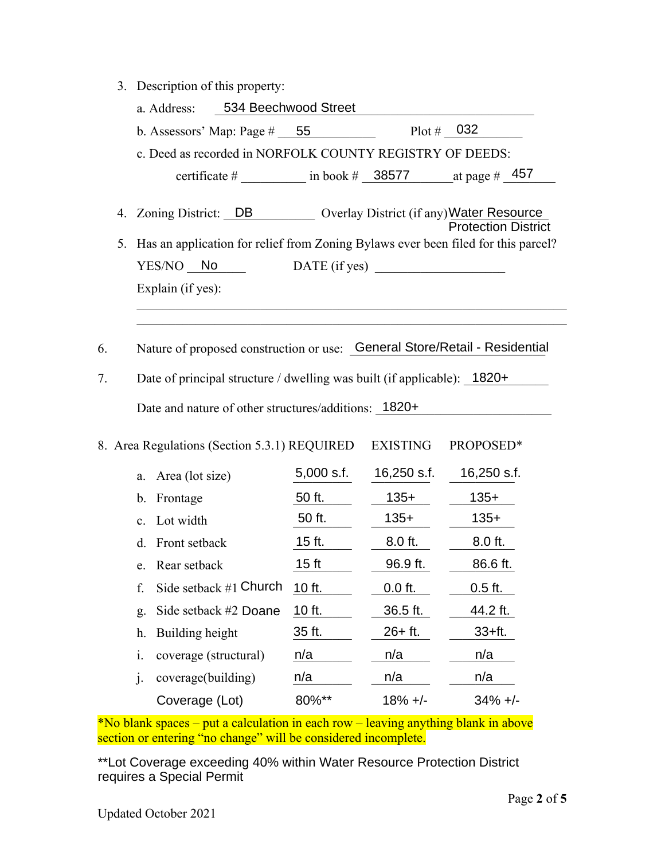| 3. Description of this property: |  |
|----------------------------------|--|
|                                  |  |

|    |    | 3. Description of this property:                                                  |                      |                 |                            |
|----|----|-----------------------------------------------------------------------------------|----------------------|-----------------|----------------------------|
|    |    | a. Address:                                                                       | 534 Beechwood Street |                 |                            |
|    |    | b. Assessors' Map: Page $\#$ 55                                                   |                      | Plot # $032$    |                            |
|    |    | c. Deed as recorded in NORFOLK COUNTY REGISTRY OF DEEDS:                          |                      |                 |                            |
|    |    | certificate # $\frac{1}{2}$ in book # 38577 at page # 457                         |                      |                 |                            |
|    | 4. | Zoning District: DB Overlay District (if any) Water Resource                      |                      |                 | <b>Protection District</b> |
|    | 5. | Has an application for relief from Zoning Bylaws ever been filed for this parcel? |                      |                 |                            |
|    |    | YES/NO No                                                                         |                      |                 |                            |
|    |    | Explain (if yes):                                                                 |                      |                 |                            |
|    |    |                                                                                   |                      |                 |                            |
|    |    |                                                                                   |                      |                 |                            |
| 6. |    | Nature of proposed construction or use: General Store/Retail - Residential        |                      |                 |                            |
| 7. |    | Date of principal structure / dwelling was built (if applicable): 1820+           |                      |                 |                            |
|    |    | Date and nature of other structures/additions: 1820+                              |                      |                 |                            |
|    |    |                                                                                   |                      |                 |                            |
|    |    | 8. Area Regulations (Section 5.3.1) REQUIRED                                      |                      | <b>EXISTING</b> | PROPOSED*                  |
|    |    | Area (lot size)<br>a.                                                             | 5,000 s.f.           | 16,250 s.f.     | 16,250 s.f.                |
|    |    | Frontage<br>$\mathbf{b}$ .                                                        | 50 ft.               | $135+$          | $135+$                     |
|    |    | c. Lot width                                                                      | 50 ft.               | $135+$          | $135+$                     |
|    |    | Front setback<br>d.                                                               | $15$ ft.             | 8.0 ft.         | 8.0 ft.                    |
|    |    | e. Rear setback                                                                   | 15 <sub>ft</sub>     | 96.9 ft.        | 86.6 ft.                   |
|    |    | Side setback #1 Church<br>f.                                                      | 10 ft.               | $0.0$ ft.       | $0.5$ ft.                  |
|    |    | Side setback #2 Doane<br>g.                                                       | 10 ft.               | 36.5 ft.        | 44.2 ft.                   |
|    |    | Building height<br>h.                                                             | 35 ft.               | $26 + ft.$      | $33+ft.$                   |
|    |    | i.<br>coverage (structural)                                                       | n/a                  | n/a             | n/a                        |
|    |    | coverage(building)<br>j.                                                          | n/a                  | n/a             | n/a                        |
|    |    | Coverage (Lot)                                                                    | 80%**                | $18% +/-$       | $34\% +$                   |

\*No blank spaces – put a calculation in each row – leaving anything blank in above section or entering "no change" will be considered incomplete.

\*\*Lot Coverage exceeding 40% within Water Resource Protection District requires a Special Permit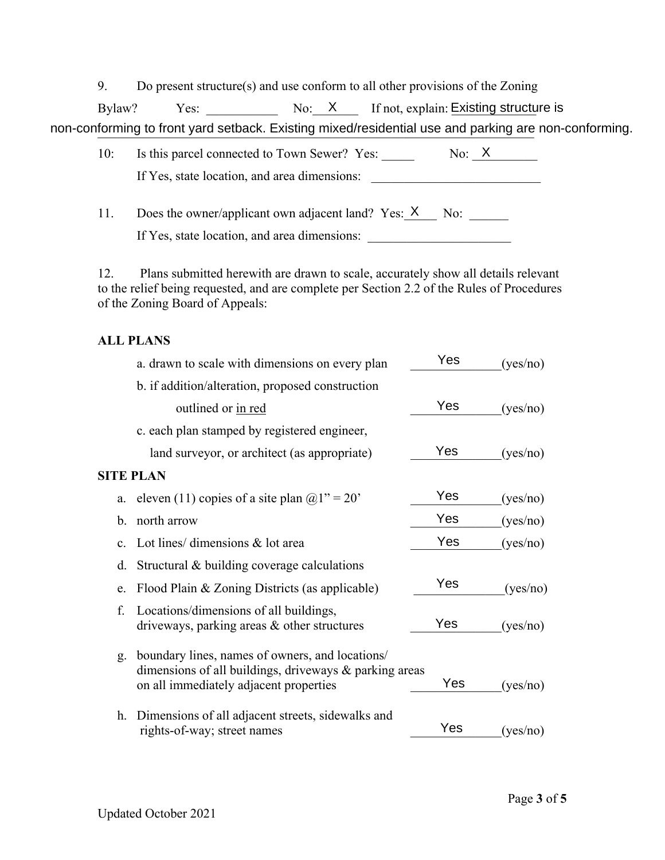9. Do present structure(s) and use conform to all other provisions of the Zoning

Bylaw?  $Yes:$  \_\_\_\_\_\_\_\_\_\_\_\_\_\_\_\_\_\_\_ No:\_\_X\_\_\_\_\_\_ If not, explain: Existing structure is Bylaw? Yes: \_\_\_\_\_\_\_\_\_\_\_\_\_\_\_\_\_\_\_No:\_\_X\_\_\_\_\_\_\_If not, explain: Existing structure is non-conforming to front yard setback. Existing mixed/residential use and parking are non-conforming.

| 10: | Is this parcel connected to Town Sewer? Yes: | $N_0$ X |
|-----|----------------------------------------------|---------|
|     | If Yes, state location, and area dimensions: |         |

11. Does the owner/applicant own adjacent land? Yes:  $X$  No: If Yes, state location, and area dimensions: \_\_\_\_\_\_\_\_\_\_\_\_\_\_\_\_\_\_\_\_\_\_\_\_\_\_\_\_\_\_\_\_\_\_\_

12. Plans submitted herewith are drawn to scale, accurately show all details relevant to the relief being requested, and are complete per Section 2.2 of the Rules of Procedures of the Zoning Board of Appeals:

# **ALL PLANS**

|                | a. drawn to scale with dimensions on every plan                                                                                                     | Yes | (yes/no) |
|----------------|-----------------------------------------------------------------------------------------------------------------------------------------------------|-----|----------|
|                | b. if addition/alteration, proposed construction                                                                                                    |     |          |
|                | outlined or in red                                                                                                                                  | Yes | (yes/no) |
|                | c. each plan stamped by registered engineer,                                                                                                        |     |          |
|                | land surveyor, or architect (as appropriate)                                                                                                        | Yes | (yes/no) |
|                | <b>SITE PLAN</b>                                                                                                                                    |     |          |
| a.             | eleven (11) copies of a site plan $@1" = 20"$                                                                                                       | Yes | (yes/no) |
| b.             | north arrow                                                                                                                                         | Yes | (yes/no) |
| $\mathbf{c}$ . | Lot lines/ dimensions & lot area                                                                                                                    | Yes | (yes/no) |
| d.             | Structural & building coverage calculations                                                                                                         |     |          |
| e.             | Flood Plain & Zoning Districts (as applicable)                                                                                                      | Yes | (yes/no) |
| f.             | Locations/dimensions of all buildings,<br>driveways, parking areas & other structures                                                               | Yes | (yes/no) |
| g.             | boundary lines, names of owners, and locations/<br>dimensions of all buildings, driveways & parking areas<br>on all immediately adjacent properties | Yes | (yes/no) |
| h.             | Dimensions of all adjacent streets, sidewalks and<br>rights-of-way; street names                                                                    | Yes | (yes/no) |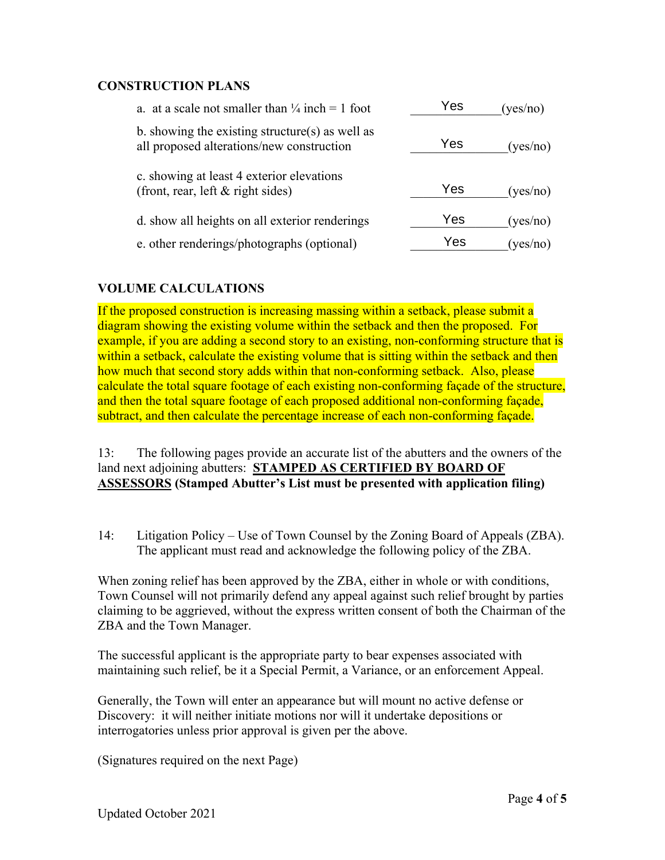### **CONSTRUCTION PLANS**

| a. at a scale not smaller than $\frac{1}{4}$ inch = 1 foot                                   | Yes | (yes/no) |
|----------------------------------------------------------------------------------------------|-----|----------|
| b. showing the existing structure(s) as well as<br>all proposed alterations/new construction | Yes | (yes/no) |
| c. showing at least 4 exterior elevations<br>(front, rear, left & right sides)               | Yes | (yes/no) |
| d. show all heights on all exterior renderings                                               | Yes | (yes/no) |
| e. other renderings/photographs (optional)                                                   | Yes | (yes/no) |
|                                                                                              |     |          |

## **VOLUME CALCULATIONS**

If the proposed construction is increasing massing within a setback, please submit a diagram showing the existing volume within the setback and then the proposed. For example, if you are adding a second story to an existing, non-conforming structure that is within a setback, calculate the existing volume that is sitting within the setback and then how much that second story adds within that non-conforming setback. Also, please calculate the total square footage of each existing non-conforming façade of the structure, and then the total square footage of each proposed additional non-conforming façade, subtract, and then calculate the percentage increase of each non-conforming façade.

13: The following pages provide an accurate list of the abutters and the owners of the land next adjoining abutters: **STAMPED AS CERTIFIED BY BOARD OF ASSESSORS (Stamped Abutter's List must be presented with application filing)**

14: Litigation Policy – Use of Town Counsel by the Zoning Board of Appeals (ZBA). The applicant must read and acknowledge the following policy of the ZBA.

When zoning relief has been approved by the ZBA, either in whole or with conditions, Town Counsel will not primarily defend any appeal against such relief brought by parties claiming to be aggrieved, without the express written consent of both the Chairman of the ZBA and the Town Manager.

The successful applicant is the appropriate party to bear expenses associated with maintaining such relief, be it a Special Permit, a Variance, or an enforcement Appeal.

Generally, the Town will enter an appearance but will mount no active defense or Discovery: it will neither initiate motions nor will it undertake depositions or interrogatories unless prior approval is given per the above.

(Signatures required on the next Page)